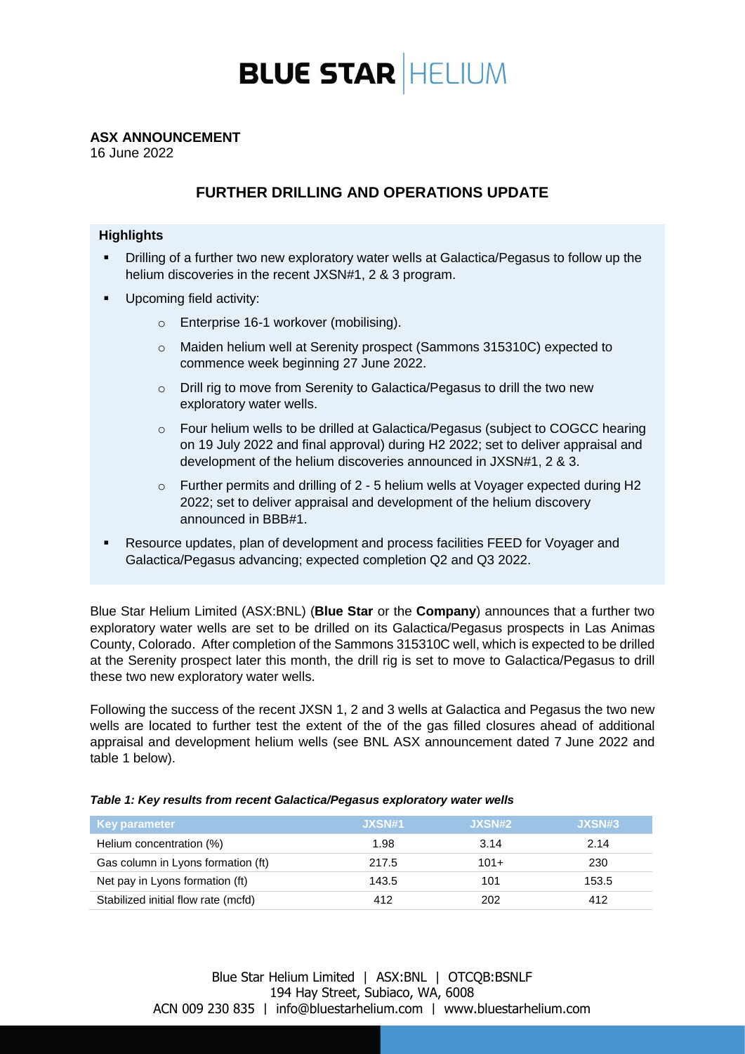

## **ASX ANNOUNCEMENT**

16 June 2022

# **FURTHER DRILLING AND OPERATIONS UPDATE**

### **Highlights**

- Drilling of a further two new exploratory water wells at Galactica/Pegasus to follow up the helium discoveries in the recent JXSN#1, 2 & 3 program.
- Upcoming field activity:
	- o Enterprise 16-1 workover (mobilising).
	- o Maiden helium well at Serenity prospect (Sammons 315310C) expected to commence week beginning 27 June 2022.
	- o Drill rig to move from Serenity to Galactica/Pegasus to drill the two new exploratory water wells.
	- o Four helium wells to be drilled at Galactica/Pegasus (subject to COGCC hearing on 19 July 2022 and final approval) during H2 2022; set to deliver appraisal and development of the helium discoveries announced in JXSN#1, 2 & 3.
	- o Further permits and drilling of 2 5 helium wells at Voyager expected during H2 2022; set to deliver appraisal and development of the helium discovery announced in BBB#1.
- Resource updates, plan of development and process facilities FEED for Voyager and Galactica/Pegasus advancing; expected completion Q2 and Q3 2022.

Blue Star Helium Limited (ASX:BNL) (**Blue Star** or the **Company**) announces that a further two exploratory water wells are set to be drilled on its Galactica/Pegasus prospects in Las Animas County, Colorado. After completion of the Sammons 315310C well, which is expected to be drilled at the Serenity prospect later this month, the drill rig is set to move to Galactica/Pegasus to drill these two new exploratory water wells.

Following the success of the recent JXSN 1, 2 and 3 wells at Galactica and Pegasus the two new wells are located to further test the extent of the of the gas filled closures ahead of additional appraisal and development helium wells (see BNL ASX announcement dated 7 June 2022 and table 1 below).

| <b>Key parameter</b>                | JXSN#1 | JXSN#2 | JXSN#3 |
|-------------------------------------|--------|--------|--------|
| Helium concentration (%)            | 1.98   | 3.14   | 2.14   |
| Gas column in Lyons formation (ft)  | 217.5  | $101+$ | 230    |
| Net pay in Lyons formation (ft)     | 143.5  | 101    | 153.5  |
| Stabilized initial flow rate (mcfd) | 412    | 202    | 412    |

*Table 1: Key results from recent Galactica/Pegasus exploratory water wells*